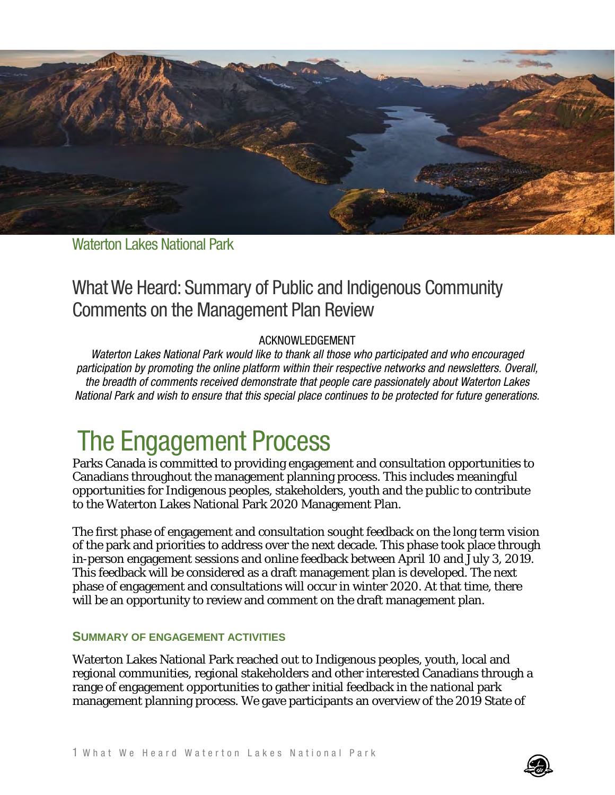

Waterton Lakes National Park

# What We Heard: Summary of Public and Indigenous Community Comments on the Management Plan Review

#### ACKNOWLEDGEMENT

*Waterton Lakes National Park would like to thank all those who participated and who encouraged participation by promoting the online platform within their respective networks and newsletters. Overall, the breadth of comments received demonstrate that people care passionately about Waterton Lakes National Park and wish to ensure that this special place continues to be protected for future generations.*

# The Engagement Process

Parks Canada is committed to providing engagement and consultation opportunities to Canadians throughout the management planning process. This includes meaningful opportunities for Indigenous peoples, stakeholders, youth and the public to contribute to the Waterton Lakes National Park 2020 Management Plan.

The first phase of engagement and consultation sought feedback on the long term vision of the park and priorities to address over the next decade. This phase took place through in-person engagement sessions and online feedback between April 10 and July 3, 2019. This feedback will be considered as a draft management plan is developed. The next phase of engagement and consultations will occur in winter 2020. At that time, there will be an opportunity to review and comment on the draft management plan.

#### **SUMMARY OF ENGAGEMENT ACTIVITIES**

Waterton Lakes National Park reached out to Indigenous peoples, youth, local and regional communities, regional stakeholders and other interested Canadians through a range of engagement opportunities to gather initial feedback in the national park management planning process. We gave participants an overview of the 2019 State of

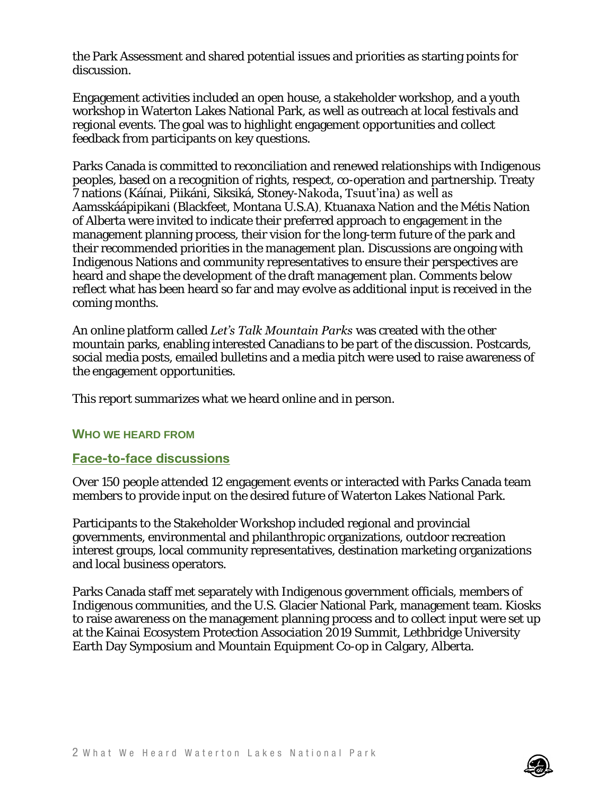the Park Assessment and shared potential issues and priorities as starting points for discussion.

Engagement activities included an open house, a stakeholder workshop, and a youth workshop in Waterton Lakes National Park, as well as outreach at local festivals and regional events. The goal was to highlight engagement opportunities and collect feedback from participants on key questions.

Parks Canada is committed to reconciliation and renewed relationships with Indigenous peoples, based on a recognition of rights, respect, co-operation and partnership. Treaty 7 nations (Káínai, Piikáni, Siksiká, Stoney-Nakoda, Tsuut'ina) as well as Aamsskáápipikani (Blackfeet, Montana U.S.A), Ktuanaxa Nation and the Métis Nation of Alberta were invited to indicate their preferred approach to engagement in the management planning process, their vision for the long-term future of the park and their recommended priorities in the management plan. Discussions are ongoing with Indigenous Nations and community representatives to ensure their perspectives are heard and shape the development of the draft management plan. Comments below reflect what has been heard so far and may evolve as additional input is received in the coming months.

An online platform called *Let's Talk Mountain Parks* was created with the other mountain parks, enabling interested Canadians to be part of the discussion. Postcards, social media posts, emailed bulletins and a media pitch were used to raise awareness of the engagement opportunities.

This report summarizes what we heard online and in person.

#### **WHO WE HEARD FROM**

#### **Face-to-face discussions**

Over 150 people attended 12 engagement events or interacted with Parks Canada team members to provide input on the desired future of Waterton Lakes National Park.

Participants to the Stakeholder Workshop included regional and provincial governments, environmental and philanthropic organizations, outdoor recreation interest groups, local community representatives, destination marketing organizations and local business operators.

Parks Canada staff met separately with Indigenous government officials, members of Indigenous communities, and the U.S. Glacier National Park, management team. Kiosks to raise awareness on the management planning process and to collect input were set up at the Kainai Ecosystem Protection Association 2019 Summit, Lethbridge University Earth Day Symposium and Mountain Equipment Co-op in Calgary, Alberta.

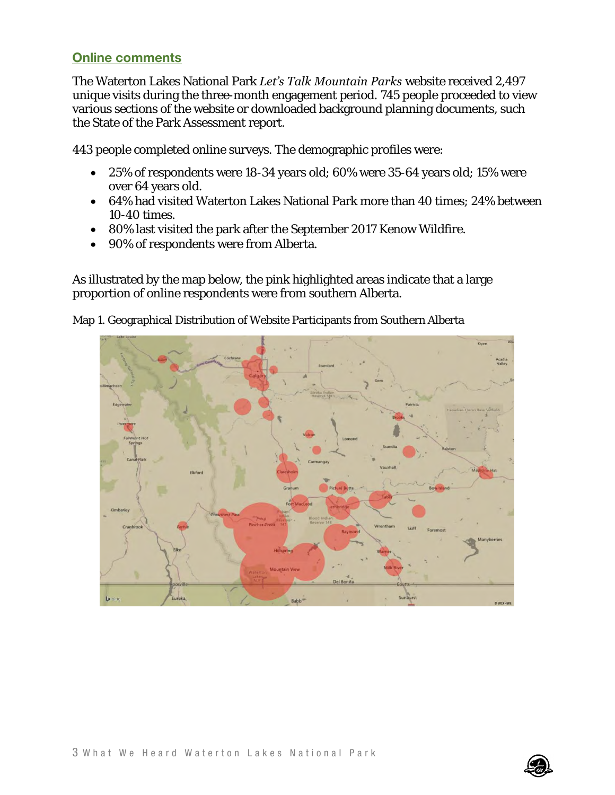#### **Online comments**

The Waterton Lakes National Park *Let's Talk Mountain Parks* website received 2,497 unique visits during the three-month engagement period. 745 people proceeded to view various sections of the website or downloaded background planning documents, such the State of the Park Assessment report.

443 people completed online surveys. The demographic profiles were:

- 25% of respondents were 18-34 years old; 60% were 35-64 years old; 15% were over 64 years old.
- 64% had visited Waterton Lakes National Park more than 40 times; 24% between 10-40 times.
- 80% last visited the park after the September 2017 Kenow Wildfire.
- 90% of respondents were from Alberta.

As illustrated by the map below, the pink highlighted areas indicate that a large proportion of online respondents were from southern Alberta.



Map 1. Geographical Distribution of Website Participants from Southern Alberta

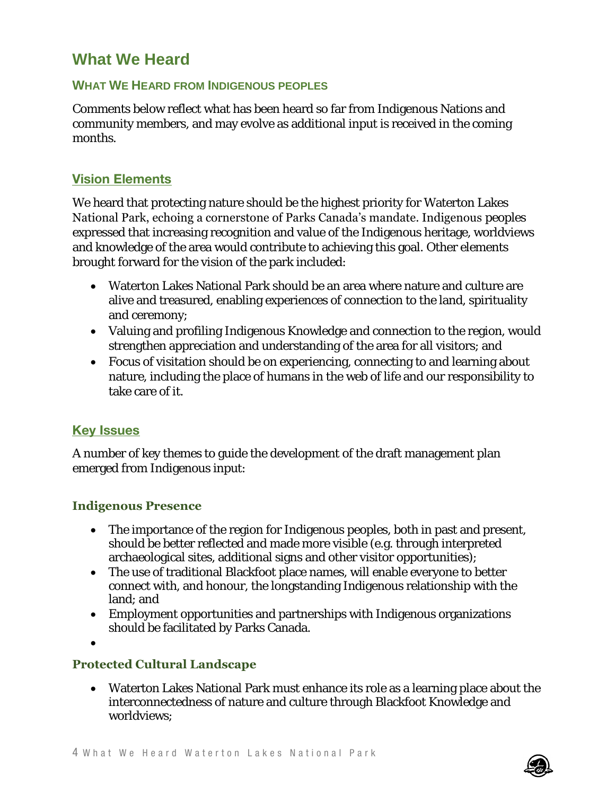# **What We Heard**

#### **WHAT WE HEARD FROM INDIGENOUS PEOPLES**

Comments below reflect what has been heard so far from Indigenous Nations and community members, and may evolve as additional input is received in the coming months.

#### **Vision Elements**

We heard that protecting nature should be the highest priority for Waterton Lakes National Park, echoing a cornerstone of Parks Canada's mandate. Indigenous peoples expressed that increasing recognition and value of the Indigenous heritage, worldviews and knowledge of the area would contribute to achieving this goal. Other elements brought forward for the vision of the park included:

- Waterton Lakes National Park should be an area where nature and culture are alive and treasured, enabling experiences of connection to the land, spirituality and ceremony;
- Valuing and profiling Indigenous Knowledge and connection to the region, would strengthen appreciation and understanding of the area for all visitors; and
- Focus of visitation should be on experiencing, connecting to and learning about nature, including the place of humans in the web of life and our responsibility to take care of it.

#### **Key Issues**

A number of key themes to guide the development of the draft management plan emerged from Indigenous input:

#### **Indigenous Presence**

- The importance of the region for Indigenous peoples, both in past and present, should be better reflected and made more visible (e.g. through interpreted archaeological sites, additional signs and other visitor opportunities);
- The use of traditional Blackfoot place names, will enable everyone to better connect with, and honour, the longstanding Indigenous relationship with the land; and
- Employment opportunities and partnerships with Indigenous organizations should be facilitated by Parks Canada.
- $\bullet$

#### **Protected Cultural Landscape**

 Waterton Lakes National Park must enhance its role as a learning place about the interconnectedness of nature and culture through Blackfoot Knowledge and worldviews;

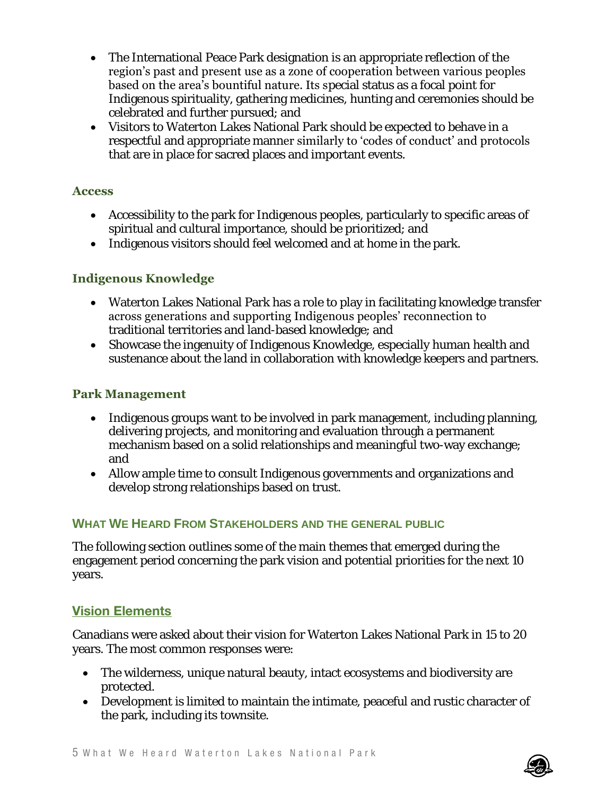- The International Peace Park designation is an appropriate reflection of the region's past and present use as a zone of cooperation between various peoples based on the area's bountiful nature. Its special status as a focal point for Indigenous spirituality, gathering medicines, hunting and ceremonies should be celebrated and further pursued; and
- Visitors to Waterton Lakes National Park should be expected to behave in a respectful and appropriate manner similarly to 'codes of conduct' and protocols that are in place for sacred places and important events.

#### **Access**

- Accessibility to the park for Indigenous peoples, particularly to specific areas of spiritual and cultural importance, should be prioritized; and
- Indigenous visitors should feel welcomed and at home in the park.

# **Indigenous Knowledge**

- Waterton Lakes National Park has a role to play in facilitating knowledge transfer across generations and supporting Indigenous peoples' reconnection to traditional territories and land-based knowledge; and
- Showcase the ingenuity of Indigenous Knowledge, especially human health and sustenance about the land in collaboration with knowledge keepers and partners.

## **Park Management**

- Indigenous groups want to be involved in park management, including planning, delivering projects, and monitoring and evaluation through a permanent mechanism based on a solid relationships and meaningful two-way exchange; and
- Allow ample time to consult Indigenous governments and organizations and develop strong relationships based on trust.

# **WHAT WE HEARD FROM STAKEHOLDERS AND THE GENERAL PUBLIC**

The following section outlines some of the main themes that emerged during the engagement period concerning the park vision and potential priorities for the next 10 years.

# **Vision Elements**

Canadians were asked about their vision for Waterton Lakes National Park in 15 to 20 years. The most common responses were:

- The wilderness, unique natural beauty, intact ecosystems and biodiversity are protected.
- Development is limited to maintain the intimate, peaceful and rustic character of the park, including its townsite.

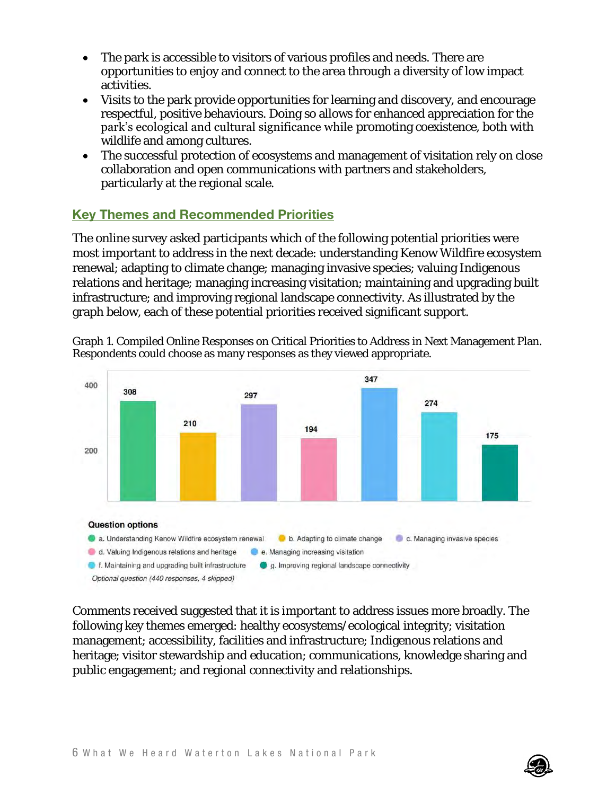- The park is accessible to visitors of various profiles and needs. There are opportunities to enjoy and connect to the area through a diversity of low impact activities.
- Visits to the park provide opportunities for learning and discovery, and encourage respectful, positive behaviours. Doing so allows for enhanced appreciation for the park's ecological and cultural significance while promoting coexistence, both with wildlife and among cultures.
- The successful protection of ecosystems and management of visitation rely on close collaboration and open communications with partners and stakeholders, particularly at the regional scale.

# **Key Themes and Recommended Priorities**

The online survey asked participants which of the following potential priorities were most important to address in the next decade: understanding Kenow Wildfire ecosystem renewal; adapting to climate change; managing invasive species; valuing Indigenous relations and heritage; managing increasing visitation; maintaining and upgrading built infrastructure; and improving regional landscape connectivity. As illustrated by the graph below, each of these potential priorities received significant support.



Graph 1. Compiled Online Responses on Critical Priorities to Address in Next Management Plan. Respondents could choose as many responses as they viewed appropriate.

Comments received suggested that it is important to address issues more broadly. The following key themes emerged: healthy ecosystems/ecological integrity; visitation management; accessibility, facilities and infrastructure; Indigenous relations and heritage; visitor stewardship and education; communications, knowledge sharing and public engagement; and regional connectivity and relationships.

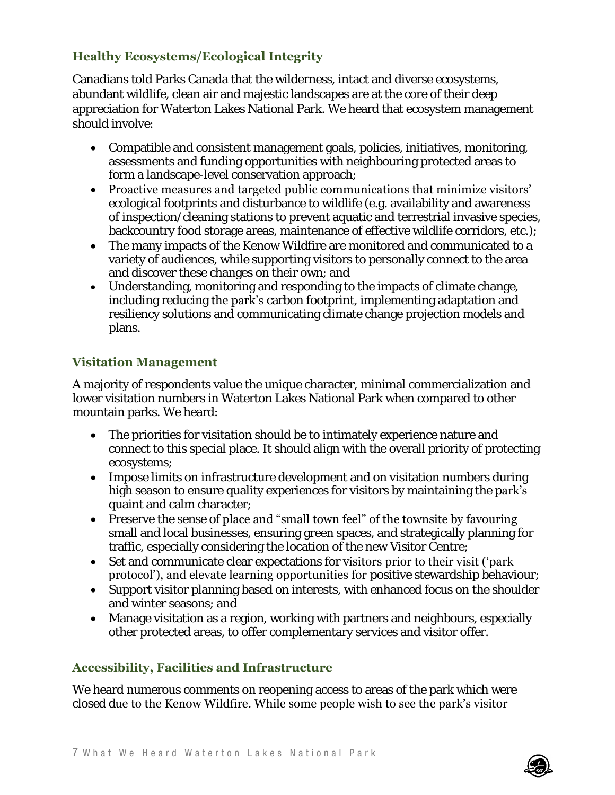# **Healthy Ecosystems/Ecological Integrity**

Canadians told Parks Canada that the wilderness, intact and diverse ecosystems, abundant wildlife, clean air and majestic landscapes are at the core of their deep appreciation for Waterton Lakes National Park. We heard that ecosystem management should involve:

- Compatible and consistent management goals, policies, initiatives, monitoring, assessments and funding opportunities with neighbouring protected areas to form a landscape-level conservation approach;
- Proactive measures and targeted public communications that minimize visitors' ecological footprints and disturbance to wildlife (e.g. availability and awareness of inspection/cleaning stations to prevent aquatic and terrestrial invasive species, backcountry food storage areas, maintenance of effective wildlife corridors, etc.);
- The many impacts of the Kenow Wildfire are monitored and communicated to a variety of audiences, while supporting visitors to personally connect to the area and discover these changes on their own; and
- Understanding, monitoring and responding to the impacts of climate change, including reducing the park's carbon footprint, implementing adaptation and resiliency solutions and communicating climate change projection models and plans.

## **Visitation Management**

A majority of respondents value the unique character, minimal commercialization and lower visitation numbers in Waterton Lakes National Park when compared to other mountain parks. We heard:

- The priorities for visitation should be to intimately experience nature and connect to this special place. It should align with the overall priority of protecting ecosystems;
- Impose limits on infrastructure development and on visitation numbers during high season to ensure quality experiences for visitors by maintaining the park's quaint and calm character;
- Preserve the sense of place and "small town feel" of the townsite by favouring small and local businesses, ensuring green spaces, and strategically planning for traffic, especially considering the location of the new Visitor Centre;
- Set and communicate clear expectations for visitors prior to their visit ('park protocol'), and elevate learning opportunities for positive stewardship behaviour;
- Support visitor planning based on interests, with enhanced focus on the shoulder and winter seasons; and
- Manage visitation as a region, working with partners and neighbours, especially other protected areas, to offer complementary services and visitor offer.

# **Accessibility, Facilities and Infrastructure**

We heard numerous comments on reopening access to areas of the park which were closed due to the Kenow Wildfire. While some people wish to see the park's visitor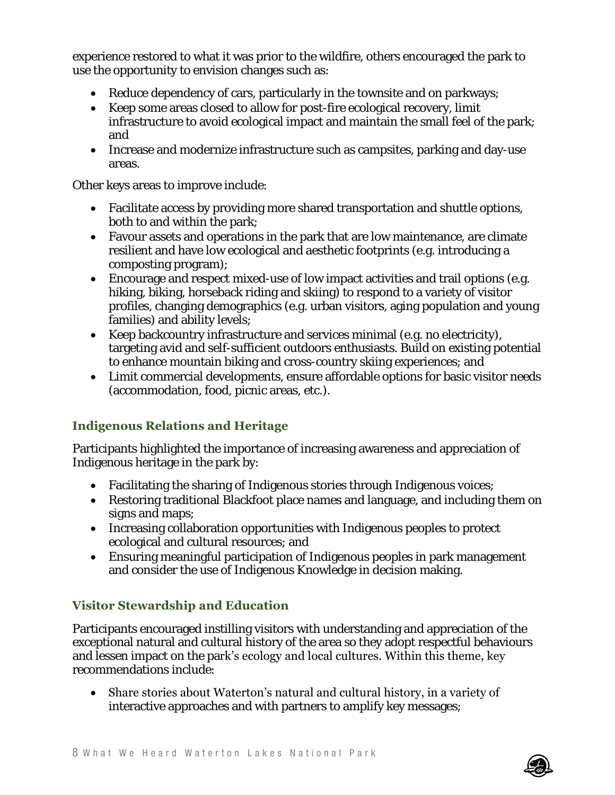experience restored to what it was prior to the wildfire, others encouraged the park to use the opportunity to envision changes such as:

- Reduce dependency of cars, particularly in the townsite and on parkways;
- Keep some areas closed to allow for post-fire ecological recovery, limit infrastructure to avoid ecological impact and maintain the small feel of the park; and
- Increase and modernize infrastructure such as campsites, parking and day-use areas.

Other keys areas to improve include:

- Facilitate access by providing more shared transportation and shuttle options, both to and within the park;
- Favour assets and operations in the park that are low maintenance, are climate resilient and have low ecological and aesthetic footprints (e.g. introducing a composting program);
- Encourage and respect mixed-use of low impact activities and trail options (e.g. hiking, biking, horseback riding and skiing) to respond to a variety of visitor profiles, changing demographics (e.g. urban visitors, aging population and young families) and ability levels;
- Keep backcountry infrastructure and services minimal (e.g. no electricity), targeting avid and self-sufficient outdoors enthusiasts. Build on existing potential to enhance mountain biking and cross-country skiing experiences; and
- Limit commercial developments, ensure affordable options for basic visitor needs (accommodation, food, picnic areas, etc.).

# **Indigenous Relations and Heritage**

Participants highlighted the importance of increasing awareness and appreciation of Indigenous heritage in the park by:

- Facilitating the sharing of Indigenous stories through Indigenous voices;
- Restoring traditional Blackfoot place names and language, and including them on signs and maps;
- Increasing collaboration opportunities with Indigenous peoples to protect ecological and cultural resources; and
- Ensuring meaningful participation of Indigenous peoples in park management and consider the use of Indigenous Knowledge in decision making.

# **Visitor Stewardship and Education**

Participants encouraged instilling visitors with understanding and appreciation of the exceptional natural and cultural history of the area so they adopt respectful behaviours and lessen impact on the park's ecology and local cultures. Within this theme, key recommendations include:

 Share stories about Waterton's natural and cultural history, in a variety of interactive approaches and with partners to amplify key messages;

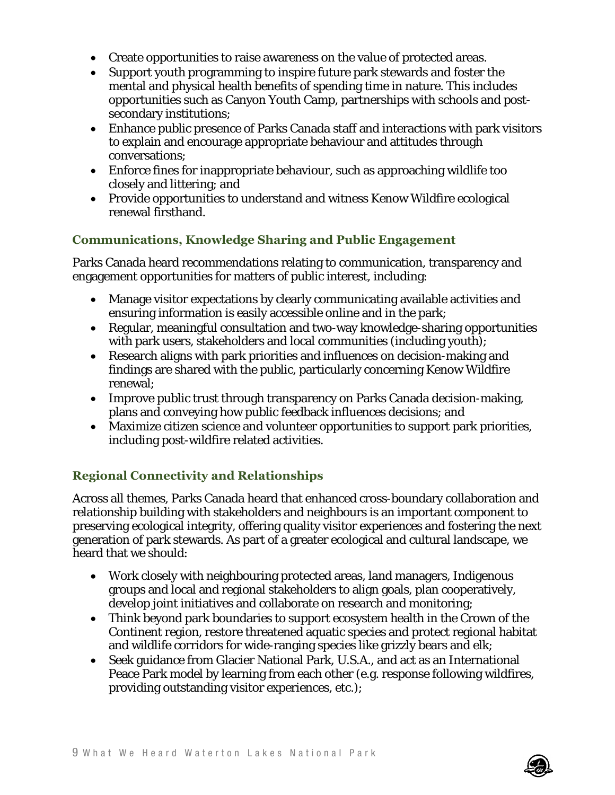- Create opportunities to raise awareness on the value of protected areas.
- Support youth programming to inspire future park stewards and foster the mental and physical health benefits of spending time in nature. This includes opportunities such as Canyon Youth Camp, partnerships with schools and postsecondary institutions;
- Enhance public presence of Parks Canada staff and interactions with park visitors to explain and encourage appropriate behaviour and attitudes through conversations;
- Enforce fines for inappropriate behaviour, such as approaching wildlife too closely and littering; and
- Provide opportunities to understand and witness Kenow Wildfire ecological renewal firsthand.

## **Communications, Knowledge Sharing and Public Engagement**

Parks Canada heard recommendations relating to communication, transparency and engagement opportunities for matters of public interest, including:

- Manage visitor expectations by clearly communicating available activities and ensuring information is easily accessible online and in the park;
- Regular, meaningful consultation and two-way knowledge-sharing opportunities with park users, stakeholders and local communities (including youth);
- Research aligns with park priorities and influences on decision-making and findings are shared with the public, particularly concerning Kenow Wildfire renewal;
- Improve public trust through transparency on Parks Canada decision-making, plans and conveying how public feedback influences decisions; and
- Maximize citizen science and volunteer opportunities to support park priorities, including post-wildfire related activities.

# **Regional Connectivity and Relationships**

Across all themes, Parks Canada heard that enhanced cross-boundary collaboration and relationship building with stakeholders and neighbours is an important component to preserving ecological integrity, offering quality visitor experiences and fostering the next generation of park stewards. As part of a greater ecological and cultural landscape, we heard that we should:

- Work closely with neighbouring protected areas, land managers, Indigenous groups and local and regional stakeholders to align goals, plan cooperatively, develop joint initiatives and collaborate on research and monitoring;
- Think beyond park boundaries to support ecosystem health in the Crown of the Continent region, restore threatened aquatic species and protect regional habitat and wildlife corridors for wide-ranging species like grizzly bears and elk;
- Seek guidance from Glacier National Park, U.S.A., and act as an International Peace Park model by learning from each other (e.g. response following wildfires, providing outstanding visitor experiences, etc.);